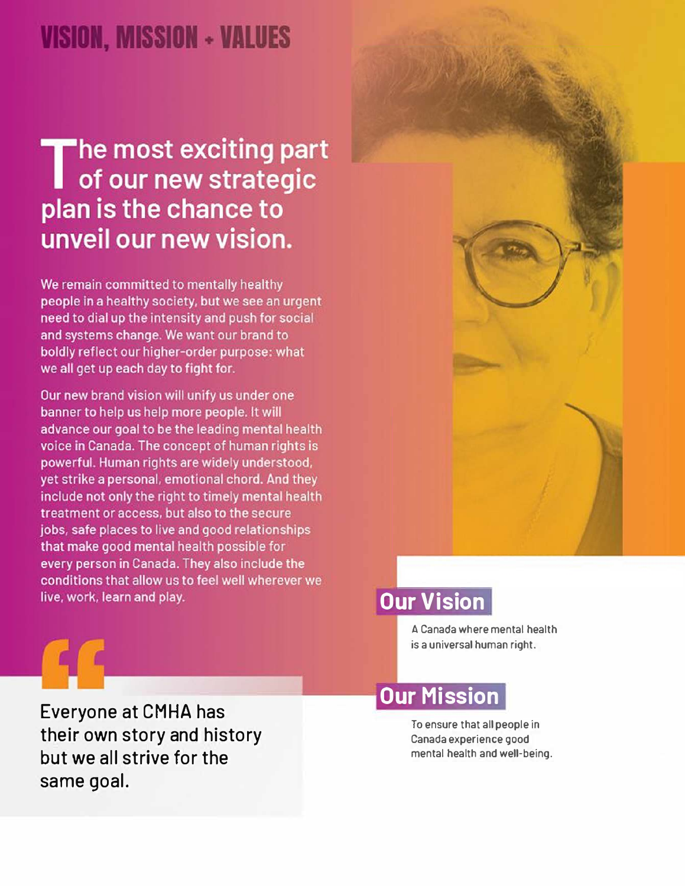## VISION, MISSION + VALUES

# The most exciting part<br>Tof our new strategic plan is the chance to unveil our new vision.

We remain committed to mentally healthy people in a healthy society, but we see an urgent need to dial up the intensity and push for social and systems change. We want our brand to boldly reflect our higher-order purpose: what we all get up each day to fight for.

Our new brand vision will unify us under one banner to help us help more people. It will advance our goal to be the leading mental health voice in Canada. The concept of human rights is powerful. Human rights are widely understood, yet strike a personal, emotional chord. And they include not only the right to timely mental health treatment or access, but also to the secure jobs, safe places to live and good relationships that make good mental health possible for every person in Canada. They also include the conditions that allow us to feel well wherever we live, work, learn and play.



### **Our Vision**

A Canada where mental health is a universal human right.

**Everyone at CMHA has their own story and history but we all strive for the same goal.** 

### **Our Mission**

To ensure that all people in Canada experience good mental health and well·being.